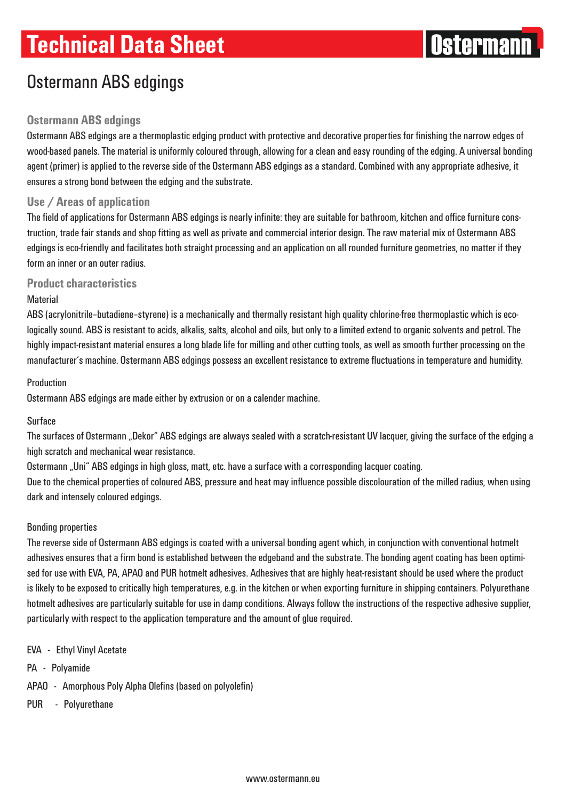# **Technical Data Sheet**



# Ostermann ABS edgings

## **Ostermann ABS edgings**

Ostermann ABS edgings are a thermoplastic edging product with protective and decorative properties for finishing the narrow edges of wood-based panels. The material is uniformly coloured through, allowing for a clean and easy rounding of the edging. A universal bonding agent (primer) is applied to the reverse side of the Ostermann ABS edgings as a standard. Combined with any appropriate adhesive, it ensures a strong bond between the edging and the substrate.

### **Use / Areas of application**

The field of applications for Ostermann ABS edgings is nearly infinite: they are suitable for bathroom, kitchen and office furniture construction, trade fair stands and shop fitting as well as private and commercial interior design. The raw material mix of Ostermann ABS edgings is eco-friendly and facilitates both straight processing and an application on all rounded furniture geometries, no matter if they form an inner or an outer radius.

**Product characteristics**

### **Material**

ABS (acrylonitrile–butadiene–styrene) is a mechanically and thermally resistant high quality chlorine-free thermoplastic which is ecologically sound. ABS is resistant to acids, alkalis, salts, alcohol and oils, but only to a limited extend to organic solvents and petrol. The highly impact-resistant material ensures a long blade life for milling and other cutting tools, as well as smooth further processing on the manufacturer's machine. Ostermann ABS edgings possess an excellent resistance to extreme fluctuations in temperature and humidity.

### Production

Ostermann ABS edgings are made either by extrusion or on a calender machine.

### Surface

The surfaces of Ostermann "Dekor" ABS edgings are always sealed with a scratch-resistant UV lacquer, giving the surface of the edging a high scratch and mechanical wear resistance.

Ostermann "Uni" ABS edgings in high gloss, matt, etc. have a surface with a corresponding lacquer coating.

Due to the chemical properties of coloured ABS, pressure and heat may influence possible discolouration of the milled radius, when using dark and intensely coloured edgings.

### Bonding properties

The reverse side of Ostermann ABS edgings is coated with a universal bonding agent which, in conjunction with conventional hotmelt adhesives ensures that a firm bond is established between the edgeband and the substrate. The bonding agent coating has been optimised for use with EVA, PA, APAO and PUR hotmelt adhesives. Adhesives that are highly heat-resistant should be used where the product is likely to be exposed to critically high temperatures, e.g. in the kitchen or when exporting furniture in shipping containers. Polyurethane hotmelt adhesives are particularly suitable for use in damp conditions. Always follow the instructions of the respective adhesive supplier, particularly with respect to the application temperature and the amount of glue required.

- EVA Ethyl Vinyl Acetate
- PA Polyamide
- APAO Amorphous Poly Alpha Olefins (based on polyolefin)
- PUR Polyurethane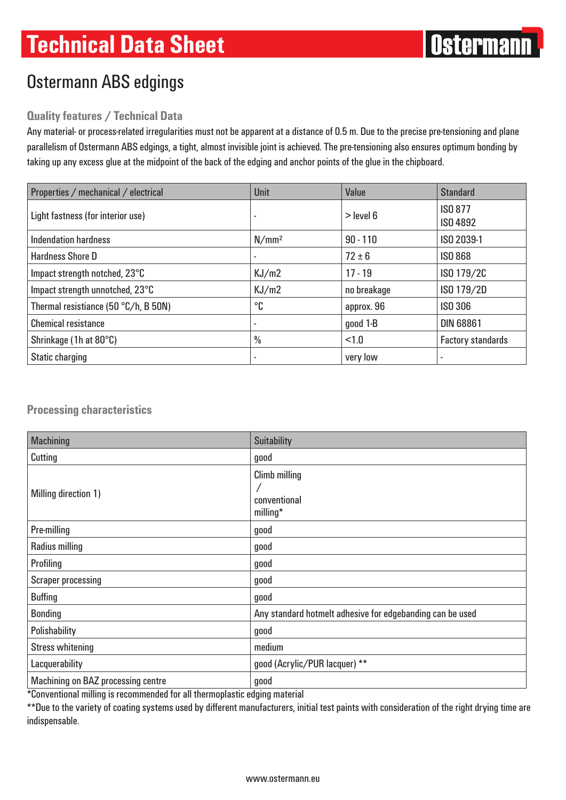# Ostermann ABS edgings

## **Quality features / Technical Data**

Any material- or process-related irregularities must not be apparent at a distance of 0.5 m. Due to the precise pre-tensioning and plane parallelism of Ostermann ABS edgings, a tight, almost invisible joint is achieved. The pre-tensioning also ensures optimum bonding by taking up any excess glue at the midpoint of the back of the edging and anchor points of the glue in the chipboard.

| Properties / mechanical / electrical | <b>Unit</b>              | Value       | <b>Standard</b>                   |
|--------------------------------------|--------------------------|-------------|-----------------------------------|
| Light fastness (for interior use)    | ۰                        | $>$ level 6 | <b>ISO 877</b><br><b>ISO 4892</b> |
| <b>Indendation hardness</b>          | N/mm <sup>2</sup>        | $90 - 110$  | ISO 2039-1                        |
| <b>Hardness Shore D</b>              | ٠                        | $72 \pm 6$  | <b>ISO 868</b>                    |
| Impact strength notched, 23°C        | KJ/m2                    | $17 - 19$   | ISO 179/2C                        |
| Impact strength unnotched, 23°C      | KJ/m2                    | no breakage | ISO 179/2D                        |
| Thermal resistiance (50 °C/h, B 50N) | °C                       | approx. 96  | <b>ISO 306</b>                    |
| <b>Chemical resistance</b>           | $\overline{\phantom{a}}$ | good 1-B    | <b>DIN 68861</b>                  |
| Shrinkage (1h at 80°C)               | $\frac{0}{0}$            | < 1.0       | <b>Factory standards</b>          |
| Static charging                      |                          | very low    |                                   |

## **Processing characteristics**

| <b>Machining</b>                          | <b>Suitability</b>                                        |
|-------------------------------------------|-----------------------------------------------------------|
| Cutting                                   | good                                                      |
| Milling direction 1)                      | <b>Climb milling</b><br>conventional<br>milling*          |
| Pre-milling                               | good                                                      |
| <b>Radius milling</b>                     | good                                                      |
| Profiling                                 | good                                                      |
| <b>Scraper processing</b>                 | good                                                      |
| <b>Buffing</b>                            | good                                                      |
| <b>Bonding</b>                            | Any standard hotmelt adhesive for edgebanding can be used |
| Polishability                             | good                                                      |
| <b>Stress whitening</b>                   | medium                                                    |
| Lacquerability                            | good (Acrylic/PUR lacquer) **                             |
| <b>Machining on BAZ processing centre</b> | good                                                      |

\*Conventional milling is recommended for all thermoplastic edging material

\*\*Due to the variety of coating systems used by different manufacturers, initial test paints with consideration of the right drying time are indispensable.